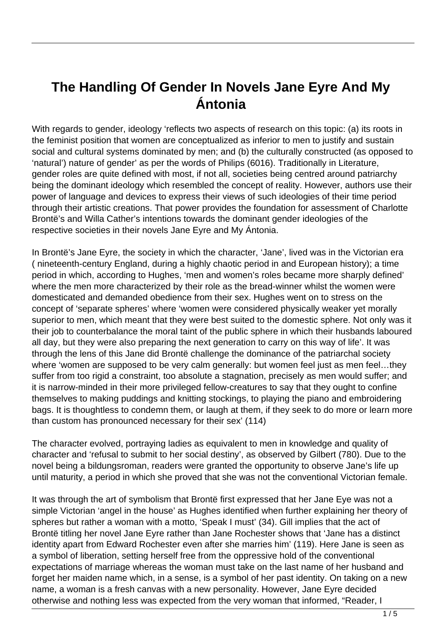## **The Handling Of Gender In Novels Jane Eyre And My Ántonia**

With regards to gender, ideology 'reflects two aspects of research on this topic: (a) its roots in the feminist position that women are conceptualized as inferior to men to justify and sustain social and cultural systems dominated by men; and (b) the culturally constructed (as opposed to 'natural') nature of gender' as per the words of Philips (6016). Traditionally in Literature, gender roles are quite defined with most, if not all, societies being centred around patriarchy being the dominant ideology which resembled the concept of reality. However, authors use their power of language and devices to express their views of such ideologies of their time period through their artistic creations. That power provides the foundation for assessment of Charlotte Brontë's and Willa Cather's intentions towards the dominant gender ideologies of the respective societies in their novels Jane Eyre and My Ántonia.

In Brontë's Jane Eyre, the society in which the character, 'Jane', lived was in the Victorian era ( nineteenth-century England, during a highly chaotic period in and European history); a time period in which, according to Hughes, 'men and women's roles became more sharply defined' where the men more characterized by their role as the bread-winner whilst the women were domesticated and demanded obedience from their sex. Hughes went on to stress on the concept of 'separate spheres' where 'women were considered physically weaker yet morally superior to men, which meant that they were best suited to the domestic sphere. Not only was it their job to counterbalance the moral taint of the public sphere in which their husbands laboured all day, but they were also preparing the next generation to carry on this way of life'. It was through the lens of this Jane did Brontë challenge the dominance of the patriarchal society where 'women are supposed to be very calm generally: but women feel just as men feel...they suffer from too rigid a constraint, too absolute a stagnation, precisely as men would suffer; and it is narrow-minded in their more privileged fellow-creatures to say that they ought to confine themselves to making puddings and knitting stockings, to playing the piano and embroidering bags. It is thoughtless to condemn them, or laugh at them, if they seek to do more or learn more than custom has pronounced necessary for their sex' (114)

The character evolved, portraying ladies as equivalent to men in knowledge and quality of character and 'refusal to submit to her social destiny', as observed by Gilbert (780). Due to the novel being a bildungsroman, readers were granted the opportunity to observe Jane's life up until maturity, a period in which she proved that she was not the conventional Victorian female.

It was through the art of symbolism that Brontë first expressed that her Jane Eye was not a simple Victorian 'angel in the house' as Hughes identified when further explaining her theory of spheres but rather a woman with a motto, 'Speak I must' (34). Gill implies that the act of Brontë titling her novel Jane Eyre rather than Jane Rochester shows that 'Jane has a distinct identity apart from Edward Rochester even after she marries him' (119). Here Jane is seen as a symbol of liberation, setting herself free from the oppressive hold of the conventional expectations of marriage whereas the woman must take on the last name of her husband and forget her maiden name which, in a sense, is a symbol of her past identity. On taking on a new name, a woman is a fresh canvas with a new personality. However, Jane Eyre decided otherwise and nothing less was expected from the very woman that informed, "Reader, I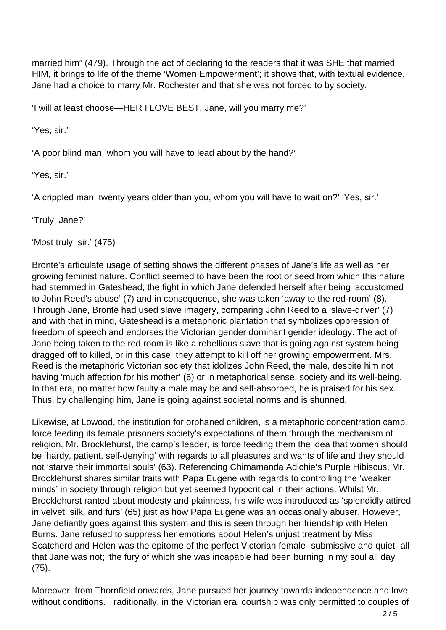married him" (479). Through the act of declaring to the readers that it was SHE that married HIM, it brings to life of the theme 'Women Empowerment'; it shows that, with textual evidence, Jane had a choice to marry Mr. Rochester and that she was not forced to by society.

'I will at least choose—HER I LOVE BEST. Jane, will you marry me?'

'Yes, sir.'

'A poor blind man, whom you will have to lead about by the hand?'

'Yes, sir.'

'A crippled man, twenty years older than you, whom you will have to wait on?' 'Yes, sir.'

'Truly, Jane?'

'Most truly, sir.' (475)

Brontë's articulate usage of setting shows the different phases of Jane's life as well as her growing feminist nature. Conflict seemed to have been the root or seed from which this nature had stemmed in Gateshead; the fight in which Jane defended herself after being 'accustomed to John Reed's abuse' (7) and in consequence, she was taken 'away to the red-room' (8). Through Jane, Brontë had used slave imagery, comparing John Reed to a 'slave-driver' (7) and with that in mind, Gateshead is a metaphoric plantation that symbolizes oppression of freedom of speech and endorses the Victorian gender dominant gender ideology. The act of Jane being taken to the red room is like a rebellious slave that is going against system being dragged off to killed, or in this case, they attempt to kill off her growing empowerment. Mrs. Reed is the metaphoric Victorian society that idolizes John Reed, the male, despite him not having 'much affection for his mother' (6) or in metaphorical sense, society and its well-being. In that era, no matter how faulty a male may be and self-absorbed, he is praised for his sex. Thus, by challenging him, Jane is going against societal norms and is shunned.

Likewise, at Lowood, the institution for orphaned children, is a metaphoric concentration camp, force feeding its female prisoners society's expectations of them through the mechanism of religion. Mr. Brocklehurst, the camp's leader, is force feeding them the idea that women should be 'hardy, patient, self-denying' with regards to all pleasures and wants of life and they should not 'starve their immortal souls' (63). Referencing Chimamanda Adichie's Purple Hibiscus, Mr. Brocklehurst shares similar traits with Papa Eugene with regards to controlling the 'weaker minds' in society through religion but yet seemed hypocritical in their actions. Whilst Mr. Brocklehurst ranted about modesty and plainness, his wife was introduced as 'splendidly attired in velvet, silk, and furs' (65) just as how Papa Eugene was an occasionally abuser. However, Jane defiantly goes against this system and this is seen through her friendship with Helen Burns. Jane refused to suppress her emotions about Helen's unjust treatment by Miss Scatcherd and Helen was the epitome of the perfect Victorian female- submissive and quiet- all that Jane was not; 'the fury of which she was incapable had been burning in my soul all day' (75).

Moreover, from Thornfield onwards, Jane pursued her journey towards independence and love without conditions. Traditionally, in the Victorian era, courtship was only permitted to couples of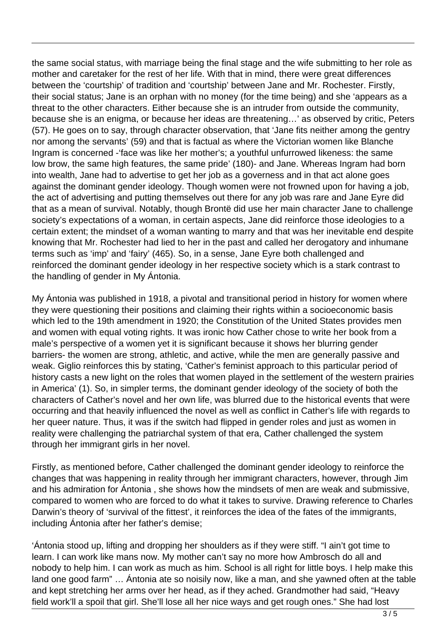the same social status, with marriage being the final stage and the wife submitting to her role as mother and caretaker for the rest of her life. With that in mind, there were great differences between the 'courtship' of tradition and 'courtship' between Jane and Mr. Rochester. Firstly, their social status; Jane is an orphan with no money (for the time being) and she 'appears as a threat to the other characters. Either because she is an intruder from outside the community, because she is an enigma, or because her ideas are threatening…' as observed by critic, Peters (57). He goes on to say, through character observation, that 'Jane fits neither among the gentry nor among the servants' (59) and that is factual as where the Victorian women like Blanche Ingram is concerned -'face was like her mother's; a youthful unfurrowed likeness: the same low brow, the same high features, the same pride' (180)- and Jane. Whereas Ingram had born into wealth, Jane had to advertise to get her job as a governess and in that act alone goes against the dominant gender ideology. Though women were not frowned upon for having a job, the act of advertising and putting themselves out there for any job was rare and Jane Eyre did that as a mean of survival. Notably, though Brontë did use her main character Jane to challenge society's expectations of a woman, in certain aspects, Jane did reinforce those ideologies to a certain extent; the mindset of a woman wanting to marry and that was her inevitable end despite knowing that Mr. Rochester had lied to her in the past and called her derogatory and inhumane terms such as 'imp' and 'fairy' (465). So, in a sense, Jane Eyre both challenged and reinforced the dominant gender ideology in her respective society which is a stark contrast to the handling of gender in My Ántonia.

My Ántonia was published in 1918, a pivotal and transitional period in history for women where they were questioning their positions and claiming their rights within a socioeconomic basis which led to the 19th amendment in 1920; the Constitution of the United States provides men and women with equal voting rights. It was ironic how Cather chose to write her book from a male's perspective of a women yet it is significant because it shows her blurring gender barriers- the women are strong, athletic, and active, while the men are generally passive and weak. Giglio reinforces this by stating, 'Cather's feminist approach to this particular period of history casts a new light on the roles that women played in the settlement of the western prairies in America' (1). So, in simpler terms, the dominant gender ideology of the society of both the characters of Cather's novel and her own life, was blurred due to the historical events that were occurring and that heavily influenced the novel as well as conflict in Cather's life with regards to her queer nature. Thus, it was if the switch had flipped in gender roles and just as women in reality were challenging the patriarchal system of that era, Cather challenged the system through her immigrant girls in her novel.

Firstly, as mentioned before, Cather challenged the dominant gender ideology to reinforce the changes that was happening in reality through her immigrant characters, however, through Jim and his admiration for Ántonia , she shows how the mindsets of men are weak and submissive, compared to women who are forced to do what it takes to survive. Drawing reference to Charles Darwin's theory of 'survival of the fittest', it reinforces the idea of the fates of the immigrants, including Ántonia after her father's demise;

'Ántonia stood up, lifting and dropping her shoulders as if they were stiff. "I ain't got time to learn. I can work like mans now. My mother can't say no more how Ambrosch do all and nobody to help him. I can work as much as him. School is all right for little boys. I help make this land one good farm" … Ántonia ate so noisily now, like a man, and she yawned often at the table and kept stretching her arms over her head, as if they ached. Grandmother had said, "Heavy field work'll a spoil that girl. She'll lose all her nice ways and get rough ones." She had lost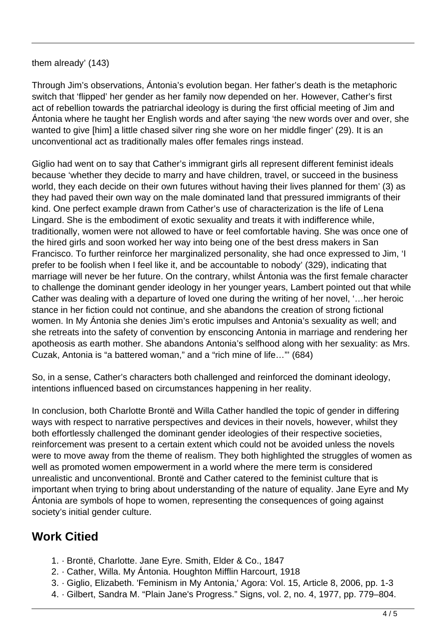## them already' (143)

Through Jim's observations, Ántonia's evolution began. Her father's death is the metaphoric switch that 'flipped' her gender as her family now depended on her. However, Cather's first act of rebellion towards the patriarchal ideology is during the first official meeting of Jim and Ántonia where he taught her English words and after saying 'the new words over and over, she wanted to give [him] a little chased silver ring she wore on her middle finger' (29). It is an unconventional act as traditionally males offer females rings instead.

Giglio had went on to say that Cather's immigrant girls all represent different feminist ideals because 'whether they decide to marry and have children, travel, or succeed in the business world, they each decide on their own futures without having their lives planned for them' (3) as they had paved their own way on the male dominated land that pressured immigrants of their kind. One perfect example drawn from Cather's use of characterization is the life of Lena Lingard. She is the embodiment of exotic sexuality and treats it with indifference while, traditionally, women were not allowed to have or feel comfortable having. She was once one of the hired girls and soon worked her way into being one of the best dress makers in San Francisco. To further reinforce her marginalized personality, she had once expressed to Jim, 'I prefer to be foolish when I feel like it, and be accountable to nobody' (329), indicating that marriage will never be her future. On the contrary, whilst Ántonia was the first female character to challenge the dominant gender ideology in her younger years, Lambert pointed out that while Cather was dealing with a departure of loved one during the writing of her novel, '…her heroic stance in her fiction could not continue, and she abandons the creation of strong fictional women. In My Ántonia she denies Jim's erotic impulses and Antonia's sexuality as well; and she retreats into the safety of convention by ensconcing Antonia in marriage and rendering her apotheosis as earth mother. She abandons Antonia's selfhood along with her sexuality: as Mrs. Cuzak, Antonia is "a battered woman," and a "rich mine of life…"' (684)

So, in a sense, Cather's characters both challenged and reinforced the dominant ideology, intentions influenced based on circumstances happening in her reality.

In conclusion, both Charlotte Brontë and Willa Cather handled the topic of gender in differing ways with respect to narrative perspectives and devices in their novels, however, whilst they both effortlessly challenged the dominant gender ideologies of their respective societies, reinforcement was present to a certain extent which could not be avoided unless the novels were to move away from the theme of realism. They both highlighted the struggles of women as well as promoted women empowerment in a world where the mere term is considered unrealistic and unconventional. Brontë and Cather catered to the feminist culture that is important when trying to bring about understanding of the nature of equality. Jane Eyre and My Ántonia are symbols of hope to women, representing the consequences of going against society's initial gender culture.

## **Work Citied**

- 1. · Brontë, Charlotte. Jane Eyre. Smith, Elder & Co., 1847
- 2. · Cather, Willa. My Ántonia. Houghton Mifflin Harcourt, 1918
- 3. · Giglio, Elizabeth. 'Feminism in My Antonia,' Agora: Vol. 15, Article 8, 2006, pp. 1-3
- 4. · Gilbert, Sandra M. "Plain Jane's Progress." Signs, vol. 2, no. 4, 1977, pp. 779–804.